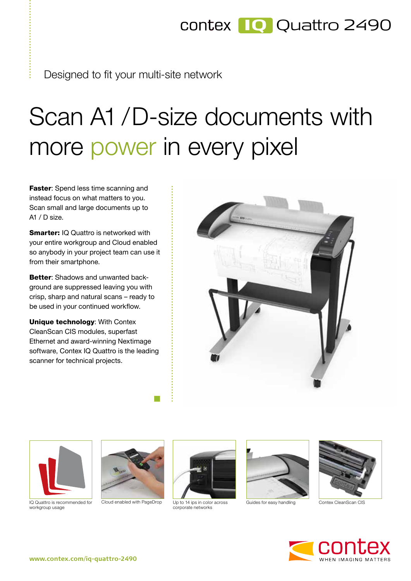## contex **IQ** Quattro 2490

Designed to fit your multi-site network

## Scan A1 / D-size documents with more power in every pixel

Faster: Spend less time scanning and instead focus on what matters to you. Scan small and large documents up to A1  $/$  D size.

**Smarter: IO Quattro is networked with** your entire workgroup and Cloud enabled so anybody in your project team can use it from their smartphone.

**Better:** Shadows and unwanted background are suppressed leaving you with crisp, sharp and natural scans – ready to be used in your continued workflow.

Unique technology: With Contex CleanScan CIS modules, superfast Ethernet and award-winning Nextimage software, Contex IQ Quattro is the leading scanner for technical projects.





IQ Quattro is recommended for workgroup usage





Up to 14 ips in color across corporate networks Cloud enabled with PageDrop Up to 14 ips in color across Guides for easy handling Contex CleanScan CIS